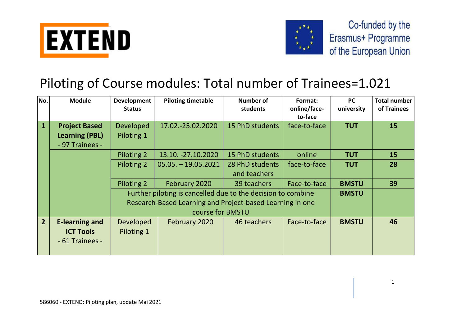



## Piloting of Course modules: Total number of Trainees=1.021

| No.            | <b>Module</b>         | Development<br><b>Status</b> | <b>Piloting timetable</b>                                    | Number of<br>students | Format:<br>online/face-<br>to-face | <b>PC</b><br>university | <b>Total number</b><br>of Trainees |
|----------------|-----------------------|------------------------------|--------------------------------------------------------------|-----------------------|------------------------------------|-------------------------|------------------------------------|
| $\mathbf{1}$   | <b>Project Based</b>  | <b>Developed</b>             | 17.02.-25.02.2020                                            | 15 PhD students       | face-to-face                       | <b>TUT</b>              | 15                                 |
|                | <b>Learning (PBL)</b> | Piloting 1                   |                                                              |                       |                                    |                         |                                    |
|                | - 97 Trainees -       |                              |                                                              |                       |                                    |                         |                                    |
|                |                       | Piloting 2                   | 13.10. -27.10.2020                                           | 15 PhD students       | online                             | <b>TUT</b>              | 15                                 |
|                |                       | Piloting 2                   | $05.05. - 19.05.2021$                                        | 28 PhD students       | face-to-face                       | <b>TUT</b>              | 28                                 |
|                |                       |                              |                                                              | and teachers          |                                    |                         |                                    |
|                |                       | Piloting 2                   | February 2020                                                | 39 teachers           | Face-to-face                       | <b>BMSTU</b>            | 39                                 |
|                |                       |                              | Further piloting is cancelled due to the decision to combine |                       |                                    | <b>BMSTU</b>            |                                    |
|                |                       |                              | Research-Based Learning and Project-based Learning in one    |                       |                                    |                         |                                    |
|                |                       |                              | course for BMSTU                                             |                       |                                    |                         |                                    |
| 2 <sup>1</sup> | <b>E-learning and</b> | <b>Developed</b>             | February 2020                                                | 46 teachers           | Face-to-face                       | <b>BMSTU</b>            | 46                                 |
|                | <b>ICT Tools</b>      | Piloting 1                   |                                                              |                       |                                    |                         |                                    |
|                | - 61 Trainees -       |                              |                                                              |                       |                                    |                         |                                    |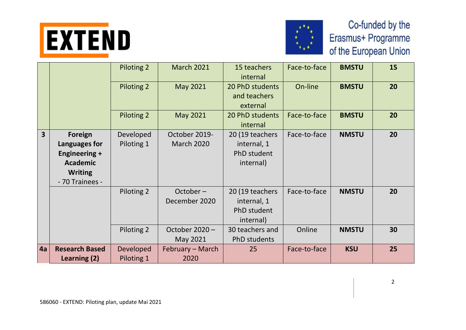



|                         |                                                                                                                 | Piloting 2              | <b>March 2021</b>                  | 15 teachers<br>internal                                    | Face-to-face | <b>BMSTU</b> | 15 |
|-------------------------|-----------------------------------------------------------------------------------------------------------------|-------------------------|------------------------------------|------------------------------------------------------------|--------------|--------------|----|
|                         |                                                                                                                 | Piloting 2              | May 2021                           | 20 PhD students<br>and teachers<br>external                | On-line      | <b>BMSTU</b> | 20 |
|                         |                                                                                                                 | Piloting 2              | May 2021                           | 20 PhD students<br>internal                                | Face-to-face | <b>BMSTU</b> | 20 |
| $\overline{\mathbf{3}}$ | <b>Foreign</b><br>Languages for<br><b>Engineering +</b><br><b>Academic</b><br><b>Writing</b><br>- 70 Trainees - | Developed<br>Piloting 1 | October 2019-<br><b>March 2020</b> | 20 (19 teachers<br>internal, 1<br>PhD student<br>internal) | Face-to-face | <b>NMSTU</b> | 20 |
|                         |                                                                                                                 | Piloting 2              | $October -$<br>December 2020       | 20 (19 teachers<br>internal, 1<br>PhD student<br>internal) | Face-to-face | <b>NMSTU</b> | 20 |
|                         |                                                                                                                 | Piloting 2              | October 2020 -<br>May 2021         | 30 teachers and<br>PhD students                            | Online       | <b>NMSTU</b> | 30 |
| 4a                      | <b>Research Based</b><br>Learning (2)                                                                           | Developed<br>Piloting 1 | February - March<br>2020           | 25                                                         | Face-to-face | <b>KSU</b>   | 25 |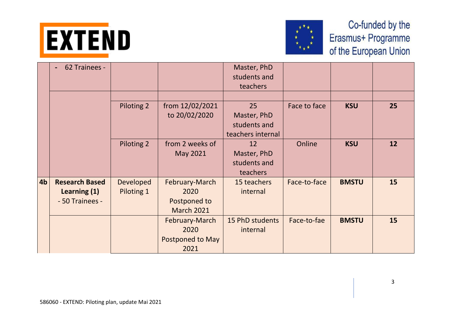



|                | 62 Trainees -<br>$\blacksquare$                          |                                |                                                             | Master, PhD<br>students and<br>teachers                |              |              |    |
|----------------|----------------------------------------------------------|--------------------------------|-------------------------------------------------------------|--------------------------------------------------------|--------------|--------------|----|
|                |                                                          | Piloting 2                     | from 12/02/2021<br>to 20/02/2020                            | 25<br>Master, PhD<br>students and<br>teachers internal | Face to face | <b>KSU</b>   | 25 |
|                |                                                          | Piloting 2                     | from 2 weeks of<br>May 2021                                 | 12<br>Master, PhD<br>students and<br>teachers          | Online       | <b>KSU</b>   | 12 |
| 4 <sub>b</sub> | <b>Research Based</b><br>Learning (1)<br>- 50 Trainees - | <b>Developed</b><br>Piloting 1 | February-March<br>2020<br>Postponed to<br><b>March 2021</b> | 15 teachers<br>internal                                | Face-to-face | <b>BMSTU</b> | 15 |
|                |                                                          |                                | February-March<br>2020<br>Postponed to May<br>2021          | 15 PhD students<br>internal                            | Face-to-fae  | <b>BMSTU</b> | 15 |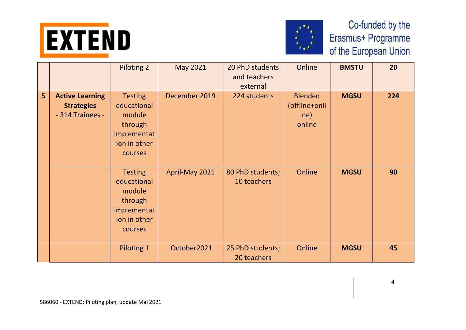



|                |                                                                 | <b>Piloting 2</b>                                                                            | <b>May 2021</b> | 20 PhD students<br>and teachers<br>external | Online                                           | <b>BMSTU</b> | 20  |
|----------------|-----------------------------------------------------------------|----------------------------------------------------------------------------------------------|-----------------|---------------------------------------------|--------------------------------------------------|--------------|-----|
| $5\phantom{a}$ | <b>Active Learning</b><br><b>Strategies</b><br>- 314 Trainees - | <b>Testing</b><br>educational<br>module<br>through<br>implementat<br>ion in other<br>courses | December 2019   | 224 students                                | <b>Blended</b><br>(offline+onli<br>ne)<br>online | <b>MGSU</b>  | 224 |
|                |                                                                 | <b>Testing</b><br>educational<br>module<br>through<br>implementat<br>ion in other<br>courses | April-May 2021  | 80 PhD students;<br>10 teachers             | Online                                           | <b>MGSU</b>  | 90  |
|                |                                                                 | Piloting 1                                                                                   | October2021     | 25 PhD students;<br>20 teachers             | Online                                           | <b>MGSU</b>  | 45  |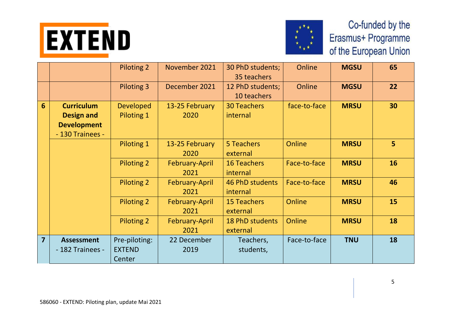



|                 |                                                                                  | <b>Piloting 2</b>                        | November 2021          | 30 PhD students;<br>35 teachers    | Online       | <b>MGSU</b> | 65 |
|-----------------|----------------------------------------------------------------------------------|------------------------------------------|------------------------|------------------------------------|--------------|-------------|----|
|                 |                                                                                  | Piloting 3                               | December 2021          | 12 PhD students;<br>10 teachers    | Online       | <b>MGSU</b> | 22 |
| $6\phantom{1}6$ | <b>Curriculum</b><br><b>Design and</b><br><b>Development</b><br>- 130 Trainees - | <b>Developed</b><br>Piloting 1           | 13-25 February<br>2020 | <b>30 Teachers</b><br>internal     | face-to-face | <b>MRSU</b> | 30 |
|                 |                                                                                  | Piloting 1                               | 13-25 February<br>2020 | 5 Teachers<br>external             | Online       | <b>MRSU</b> | 5  |
|                 |                                                                                  | <b>Piloting 2</b>                        | February-April<br>2021 | <b>16 Teachers</b><br>internal     | Face-to-face | <b>MRSU</b> | 16 |
|                 |                                                                                  | <b>Piloting 2</b>                        | February-April<br>2021 | 46 PhD students<br>internal        | Face-to-face | <b>MRSU</b> | 46 |
|                 |                                                                                  | <b>Piloting 2</b>                        | February-April<br>2021 | <b>15 Teachers</b><br>external     | Online       | <b>MRSU</b> | 15 |
|                 |                                                                                  | <b>Piloting 2</b>                        | February-April<br>2021 | <b>18 PhD students</b><br>external | Online       | <b>MRSU</b> | 18 |
| $\overline{7}$  | <b>Assessment</b><br>- 182 Trainees -                                            | Pre-piloting:<br><b>EXTEND</b><br>Center | 22 December<br>2019    | Teachers,<br>students,             | Face-to-face | <b>TNU</b>  | 18 |

5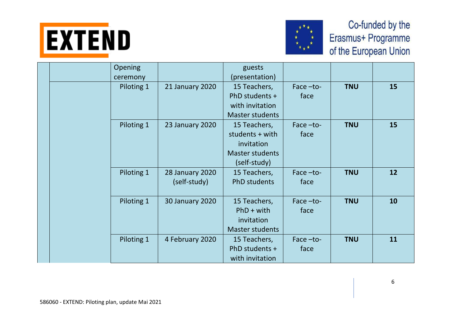



|  | Opening<br>ceremony |                                        | guests<br>(presentation)                                                                |                     |            |    |
|--|---------------------|----------------------------------------|-----------------------------------------------------------------------------------------|---------------------|------------|----|
|  | Piloting 1          | 21 January 2020                        | 15 Teachers,<br>PhD students +<br>with invitation<br><b>Master students</b>             | Face $-to-$<br>face | <b>TNU</b> | 15 |
|  | Piloting 1          | <b>23 January 2020</b>                 | 15 Teachers,<br>students + with<br>invitation<br><b>Master students</b><br>(self-study) | Face $-to-$<br>face | <b>TNU</b> | 15 |
|  | Piloting 1          | <b>28 January 2020</b><br>(self-study) | 15 Teachers,<br>PhD students                                                            | Face-to-<br>face    | <b>TNU</b> | 12 |
|  | Piloting 1          | 30 January 2020                        | 15 Teachers,<br>$PhD + with$<br>invitation<br><b>Master students</b>                    | Face-to-<br>face    | <b>TNU</b> | 10 |
|  | Piloting 1          | 4 February 2020                        | 15 Teachers,<br>PhD students +<br>with invitation                                       | Face $-to-$<br>face | <b>TNU</b> | 11 |

6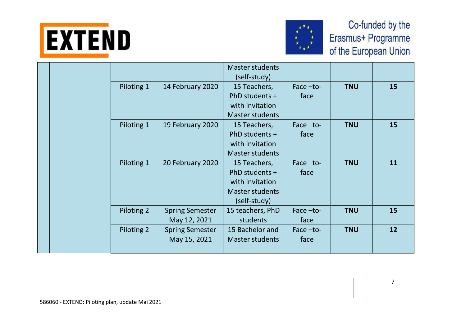



|  |            |                        | <b>Master students</b> |             |            |    |
|--|------------|------------------------|------------------------|-------------|------------|----|
|  |            |                        | (self-study)           |             |            |    |
|  | Piloting 1 | 14 February 2020       | 15 Teachers,           | Face-to-    | <b>TNU</b> | 15 |
|  |            |                        | PhD students +         | face        |            |    |
|  |            |                        | with invitation        |             |            |    |
|  |            |                        | <b>Master students</b> |             |            |    |
|  | Piloting 1 | 19 February 2020       | 15 Teachers,           | Face $-to-$ | <b>TNU</b> | 15 |
|  |            |                        | PhD students +         | face        |            |    |
|  |            |                        | with invitation        |             |            |    |
|  |            |                        | <b>Master students</b> |             |            |    |
|  | Piloting 1 | 20 February 2020       | 15 Teachers,           | Face $-to-$ | <b>TNU</b> | 11 |
|  |            |                        | PhD students +         | face        |            |    |
|  |            |                        | with invitation        |             |            |    |
|  |            |                        | <b>Master students</b> |             |            |    |
|  |            |                        | (self-study)           |             |            |    |
|  | Piloting 2 | <b>Spring Semester</b> | 15 teachers, PhD       | Face -to-   | <b>TNU</b> | 15 |
|  |            | May 12, 2021           | students               | face        |            |    |
|  | Piloting 2 | <b>Spring Semester</b> | 15 Bachelor and        | Face $-to-$ | <b>TNU</b> | 12 |
|  |            | May 15, 2021           | <b>Master students</b> | face        |            |    |
|  |            |                        |                        |             |            |    |